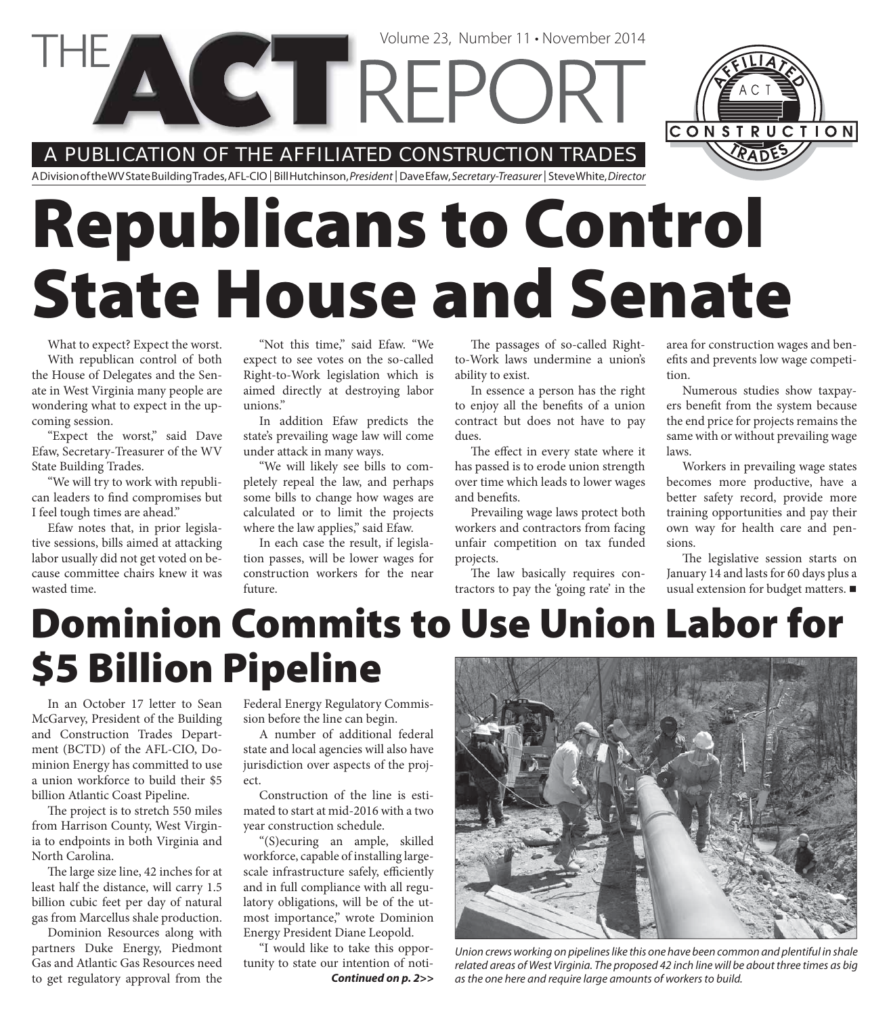A PUBLICATION OF THE AFFILIATED CONSTRUCTION TRADES

**VIEREPC** 

A Division of the WV State Building Trades, AFL-CIO | Bill Hutchinson, President | Dave Efaw, Secretary-Treasurer | Steve White, Director

# **Republicans to Control State House and Senate**

What to expect? Expect the worst. With republican control of both the House of Delegates and the Sen-

ate in West Virginia many people are wondering what to expect in the upcoming session.

"Expect the worst," said Dave Efaw, Secretary-Treasurer of the WV State Building Trades.

"We will try to work with republican leaders to find compromises but I feel tough times are ahead."

Efaw notes that, in prior legislative sessions, bills aimed at attacking labor usually did not get voted on because committee chairs knew it was wasted time.

"Not this time," said Efaw. "We expect to see votes on the so-called Right-to-Work legislation which is aimed directly at destroying labor unions."

In addition Efaw predicts the state's prevailing wage law will come under attack in many ways.

"We will likely see bills to completely repeal the law, and perhaps some bills to change how wages are calculated or to limit the projects where the law applies," said Efaw.

In each case the result, if legislation passes, will be lower wages for construction workers for the near future.

The passages of so-called Rightto-Work laws undermine a union's ability to exist.

Volume 23, Number 11 • November 2014

In essence a person has the right to enjoy all the benefits of a union contract but does not have to pay dues.

The effect in every state where it has passed is to erode union strength over time which leads to lower wages and benefits.

Prevailing wage laws protect both workers and contractors from facing unfair competition on tax funded projects.

The law basically requires contractors to pay the 'going rate' in the area for construction wages and benefits and prevents low wage competition.

CONSTRUCTION

Numerous studies show taxpayers benefit from the system because the end price for projects remains the same with or without prevailing wage laws.

Workers in prevailing wage states becomes more productive, have a better safety record, provide more training opportunities and pay their own way for health care and pensions.

The legislative session starts on January 14 and lasts for 60 days plus a usual extension for budget matters.

## **Dominion Commits to Use Union Labor for \$5 Billion Pipeline**

In an October 17 letter to Sean McGarvey, President of the Building and Construction Trades Department (BCTD) of the AFL-CIO, Dominion Energy has committed to use a union workforce to build their \$5 billion Atlantic Coast Pipeline.

The project is to stretch 550 miles from Harrison County, West Virginia to endpoints in both Virginia and North Carolina.

The large size line, 42 inches for at least half the distance, will carry 1.5 billion cubic feet per day of natural gas from Marcellus shale production.

Dominion Resources along with partners Duke Energy, Piedmont Gas and Atlantic Gas Resources need to get regulatory approval from the Federal Energy Regulatory Commission before the line can begin.

A number of additional federal state and local agencies will also have jurisdiction over aspects of the project.

Construction of the line is estimated to start at mid-2016 with a two year construction schedule.

"(S)ecuring an ample, skilled workforce, capable of installing largescale infrastructure safely, efficiently and in full compliance with all regulatory obligations, will be of the utmost importance," wrote Dominion Energy President Diane Leopold.

"I would like to take this opportunity to state our intention of noti-*Continued on p. 2>>*



Union crews working on pipelines like this one have been common and plentiful in shale related areas of West Virginia. The proposed 42 inch line will be about three times as big as the one here and require large amounts of workers to build.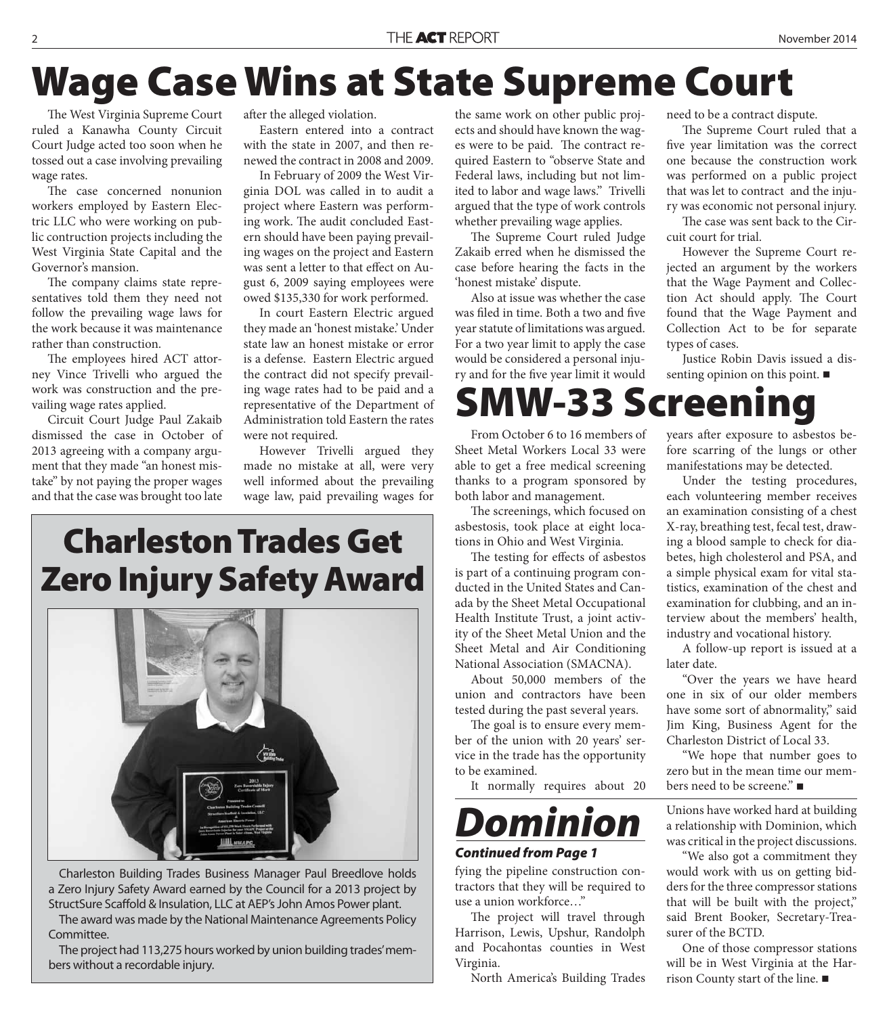### **Wage Case Wins at State Supreme Court**

The West Virginia Supreme Court ruled a Kanawha County Circuit Court Judge acted too soon when he tossed out a case involving prevailing wage rates.

The case concerned nonunion workers employed by Eastern Electric LLC who were working on public contruction projects including the West Virginia State Capital and the Governor's mansion.

The company claims state representatives told them they need not follow the prevailing wage laws for the work because it was maintenance rather than construction.

The employees hired ACT attorney Vince Trivelli who argued the work was construction and the prevailing wage rates applied.

Circuit Court Judge Paul Zakaib dismissed the case in October of 2013 agreeing with a company argument that they made "an honest mistake" by not paying the proper wages and that the case was brought too late

after the alleged violation.

Eastern entered into a contract with the state in 2007, and then renewed the contract in 2008 and 2009.

In February of 2009 the West Virginia DOL was called in to audit a project where Eastern was performing work. The audit concluded Eastern should have been paying prevailing wages on the project and Eastern was sent a letter to that effect on August 6, 2009 saying employees were owed \$135,330 for work performed.

In court Eastern Electric argued they made an 'honest mistake.' Under state law an honest mistake or error is a defense. Eastern Electric argued the contract did not specify prevailing wage rates had to be paid and a representative of the Department of Administration told Eastern the rates were not required.

However Trivelli argued they made no mistake at all, were very well informed about the prevailing wage law, paid prevailing wages for

the same work on other public projects and should have known the wages were to be paid. The contract required Eastern to "observe State and Federal laws, including but not limited to labor and wage laws." Trivelli argued that the type of work controls whether prevailing wage applies.

The Supreme Court ruled Judge Zakaib erred when he dismissed the case before hearing the facts in the 'honest mistake' dispute.

Also at issue was whether the case was filed in time. Both a two and five year statute of limitations was argued. For a two year limit to apply the case would be considered a personal injury and for the five year limit it would

need to be a contract dispute.

The Supreme Court ruled that a five year limitation was the correct one because the construction work was performed on a public project that was let to contract and the injury was economic not personal injury.

The case was sent back to the Circuit court for trial.

However the Supreme Court rejected an argument by the workers that the Wage Payment and Collection Act should apply. The Court found that the Wage Payment and Collection Act to be for separate types of cases.

Justice Robin Davis issued a dissenting opinion on this point.

**SMW-33 Screening**

From October 6 to 16 members of Sheet Metal Workers Local 33 were able to get a free medical screening thanks to a program sponsored by both labor and management.

The screenings, which focused on asbestosis, took place at eight locations in Ohio and West Virginia.

The testing for effects of asbestos is part of a continuing program conducted in the United States and Canada by the Sheet Metal Occupational Health Institute Trust, a joint activity of the Sheet Metal Union and the Sheet Metal and Air Conditioning National Association (SMACNA).

About 50,000 members of the union and contractors have been tested during the past several years.

The goal is to ensure every member of the union with 20 years' service in the trade has the opportunity to be examined.

It normally requires about 20



#### *Continued from Page 1*

fying the pipeline construction contractors that they will be required to use a union workforce…"

The project will travel through Harrison, Lewis, Upshur, Randolph and Pocahontas counties in West Virginia.

North America's Building Trades

years after exposure to asbestos before scarring of the lungs or other manifestations may be detected.

Under the testing procedures, each volunteering member receives an examination consisting of a chest X-ray, breathing test, fecal test, drawing a blood sample to check for diabetes, high cholesterol and PSA, and a simple physical exam for vital statistics, examination of the chest and examination for clubbing, and an interview about the members' health, industry and vocational history.

A follow-up report is issued at a later date.

"Over the years we have heard one in six of our older members have some sort of abnormality," said Jim King, Business Agent for the Charleston District of Local 33.

"We hope that number goes to zero but in the mean time our members need to be screene."

Unions have worked hard at building a relationship with Dominion, which was critical in the project discussions.

"We also got a commitment they would work with us on getting bidders for the three compressor stations that will be built with the project," said Brent Booker, Secretary-Treasurer of the BCTD.

One of those compressor stations will be in West Virginia at the Harrison County start of the line.

### **Charleston Trades Get Zero Injury Safety Award**



Charleston Building Trades Business Manager Paul Breedlove holds a Zero Injury Safety Award earned by the Council for a 2013 project by StructSure Scaffold & Insulation, LLC at AEP's John Amos Power plant.

The award was made by the National Maintenance Agreements Policy Committee.

The project had 113,275 hours worked by union building trades' members without a recordable injury.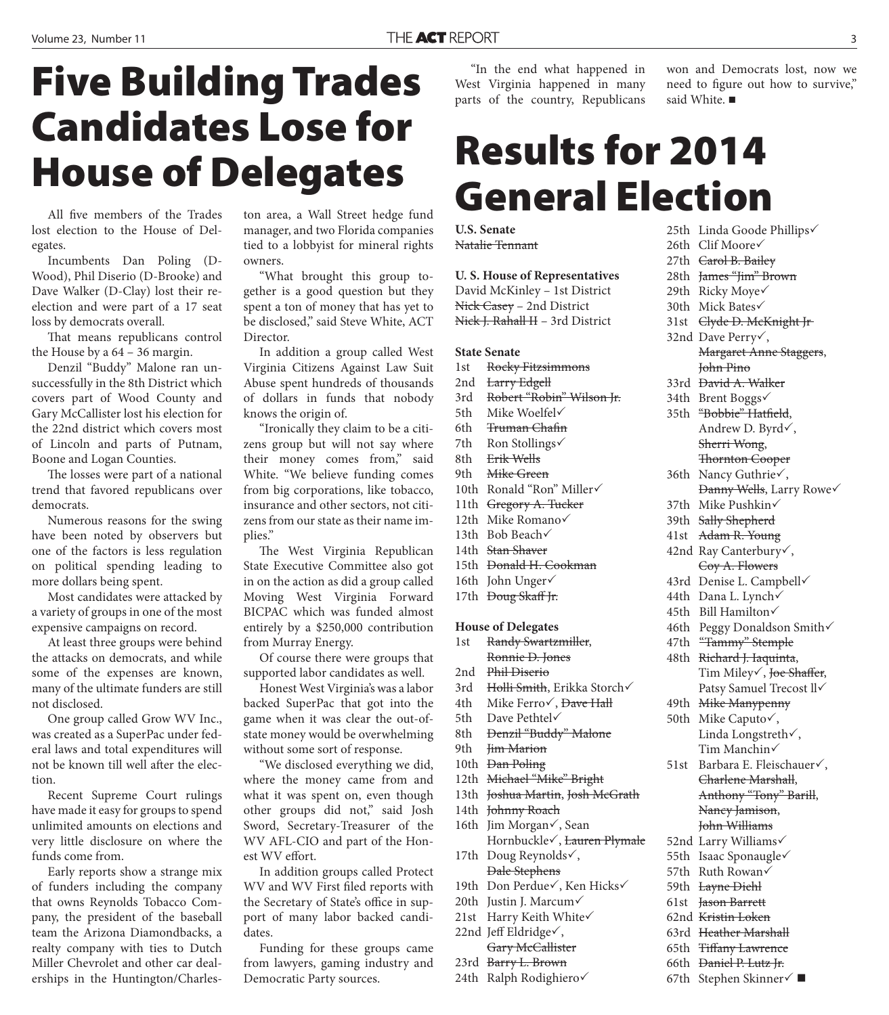# **Five Building Trades Candidates Lose for House of Delegates**

All five members of the Trades lost election to the House of Delegates.

Incumbents Dan Poling (D-Wood), Phil Diserio (D-Brooke) and Dave Walker (D-Clay) lost their reelection and were part of a 17 seat loss by democrats overall.

That means republicans control the House by a 64 – 36 margin.

Denzil "Buddy" Malone ran unsuccessfully in the 8th District which covers part of Wood County and Gary McCallister lost his election for the 22nd district which covers most of Lincoln and parts of Putnam, Boone and Logan Counties.

The losses were part of a national trend that favored republicans over democrats.

Numerous reasons for the swing have been noted by observers but one of the factors is less regulation on political spending leading to more dollars being spent.

Most candidates were attacked by a variety of groups in one of the most expensive campaigns on record.

At least three groups were behind the attacks on democrats, and while some of the expenses are known, many of the ultimate funders are still not disclosed.

One group called Grow WV Inc., was created as a SuperPac under federal laws and total expenditures will not be known till well after the election.

Recent Supreme Court rulings have made it easy for groups to spend unlimited amounts on elections and very little disclosure on where the funds come from.

Early reports show a strange mix of funders including the company that owns Reynolds Tobacco Company, the president of the baseball team the Arizona Diamondbacks, a realty company with ties to Dutch Miller Chevrolet and other car dealerships in the Huntington/Charleston area, a Wall Street hedge fund manager, and two Florida companies tied to a lobbyist for mineral rights owners.

"What brought this group together is a good question but they spent a ton of money that has yet to be disclosed," said Steve White, ACT **Director** 

In addition a group called West Virginia Citizens Against Law Suit Abuse spent hundreds of thousands of dollars in funds that nobody knows the origin of.

"Ironically they claim to be a citizens group but will not say where their money comes from," said White. "We believe funding comes from big corporations, like tobacco, insurance and other sectors, not citizens from our state as their name implies."

The West Virginia Republican State Executive Committee also got in on the action as did a group called Moving West Virginia Forward BICPAC which was funded almost entirely by a \$250,000 contribution from Murray Energy.

Of course there were groups that supported labor candidates as well.

Honest West Virginia's was a labor backed SuperPac that got into the game when it was clear the out-ofstate money would be overwhelming without some sort of response.

"We disclosed everything we did, where the money came from and what it was spent on, even though other groups did not," said Josh Sword, Secretary-Treasurer of the WV AFL-CIO and part of the Honest WV effort.

In addition groups called Protect WV and WV First filed reports with the Secretary of State's office in support of many labor backed candidates.

Funding for these groups came from lawyers, gaming industry and Democratic Party sources.

"In the end what happened in West Virginia happened in many parts of the country, Republicans

won and Democrats lost, now we need to figure out how to survive," said White.

### **Results for 2014 General Election**

**U.S. Senate** Natalie Tennant

#### **U. S. House of Representatives**

David McKinley – 1st District Nick Casey – 2nd District Nick J. Rahall II – 3rd District

#### **State Senate**

- 1st Rocky Fitzsimmons
- 2nd <del>Larry Edgell</del>
- 3rd Robert "Robin" Wilson Jr.
- 5th Mike Woelfel
- 6th Truman Chafin
- 7th Ron Stollings√
- 8th Erik Wells
- 9th Mike Green
- 10th Ronald "Ron" Miller
- 11th Gregory A. Tucker
- 12th Mike Romano
- 13th Bob Beach√
- 14th Stan Shaver
- 15th Donald H. Cookman
- 16th John Unger
- 17th <del>Doug Skaff Jr.</del>

#### **House of Delegates**

- 1st Randy Swartzmiller, Ronnie D. Jones
- 2nd Phil Diserio
- 3rd Holli Smith, Erikka Storch√
- 4th Mike Ferro $\sqrt{}$ , Dave Hall
- 5th Dave Pethtel
- 8th Denzil "Buddy" Malone
- 9th <del>Jim Marion</del>
- 10th <del>Dan Poling</del>
- 12th Michael "Mike" Bright
- 13th Joshua Martin, Josh McGrath
- 14th Johnny Roach
- 16th Jim Morgan $\checkmark$ , Sean Hornbuckle , Lauren Plymale
- 17th Doug Reynolds√, Dale Stephens
- 19th Don Perdue√, Ken Hicks√
- 20th Justin J. Marcum√
- 21st Harry Keith White
- 22nd Jeff Eldridge $\checkmark$ ,
- Gary McCallister
- 23rd Barry L. Brown
- 24th Ralph Rodighiero√

- 25th Linda Goode Phillips√ 26th Clif Moore√
- 27th <del>Carol B. Bailey</del>
- 28th James "Jim" Brown
- 29th Ricky Move√
- 30th Mick Bates
- 31st Clyde D. McKnight Jr
- 32nd Dave Perry√, Margaret Anne Staggers,
- John Pino 33rd David A. Walker
- 34th Brent Boggs√
- 35th "Bobbie" Hatfield, Andrew D. Byrd√, Sherri Wong, **Thornton Cooper**
- 36th Nancy Guthrie $\checkmark$ ,
- **Danny Wells**, Larry Rowe√ 37th Mike Pushkin
- 39th Sally Shepherd
- 
- 41st Adam R. Young
- 42nd Ray Canterbury√, Coy A. Flowers
- 43rd Denise L. Campbell
- 44th Dana L. Lynch
- 45th Bill Hamilton√
- 46th Peggy Donaldson Smith
- 47th "Tammy" Stemple
- 48th Richard J. Iaquinta, Tim Miley√, <del>Joe Shaffer</del>, Patsy Samuel Trecost ll
- 49th Mike Manypenny
- 50th Mike Caputo√, Linda Longstreth√, Tim Manchin
- 51st Barbara E. Fleischauer√, Charlene Marshall, Anthony "Tony" Barill, Nancy Jamison, John Williams
- 52nd Larry Williams
- 55th Isaac Sponaugle
- 57th Ruth Rowan
- 59th Layne Diehl
- 61st Jason Barrett
- 62nd Kristin Loken

63rd Heather Marshall 65th <del>Tiffany Lawrence</del> 66th Daniel P. Lutz Jr. 67th Stephen Skinner